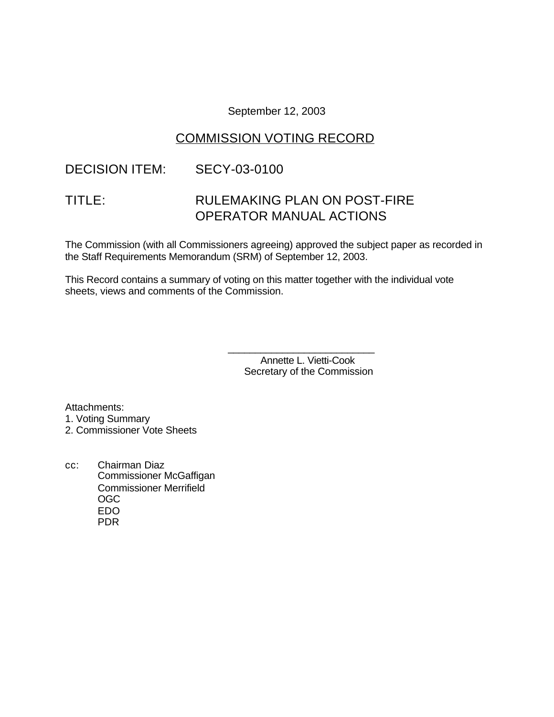September 12, 2003

# COMMISSION VOTING RECORD

# DECISION ITEM: SECY-03-0100

# TITLE: RULEMAKING PLAN ON POST-FIRE OPERATOR MANUAL ACTIONS

The Commission (with all Commissioners agreeing) approved the subject paper as recorded in the Staff Requirements Memorandum (SRM) of September 12, 2003.

This Record contains a summary of voting on this matter together with the individual vote sheets, views and comments of the Commission.

> Annette L. Vietti-Cook Secretary of the Commission

\_\_\_\_\_\_\_\_\_\_\_\_\_\_\_\_\_\_\_\_\_\_\_\_\_\_\_

Attachments:

- 1. Voting Summary
- 2. Commissioner Vote Sheets
- cc: Chairman Diaz Commissioner McGaffigan Commissioner Merrifield OGC EDO PDR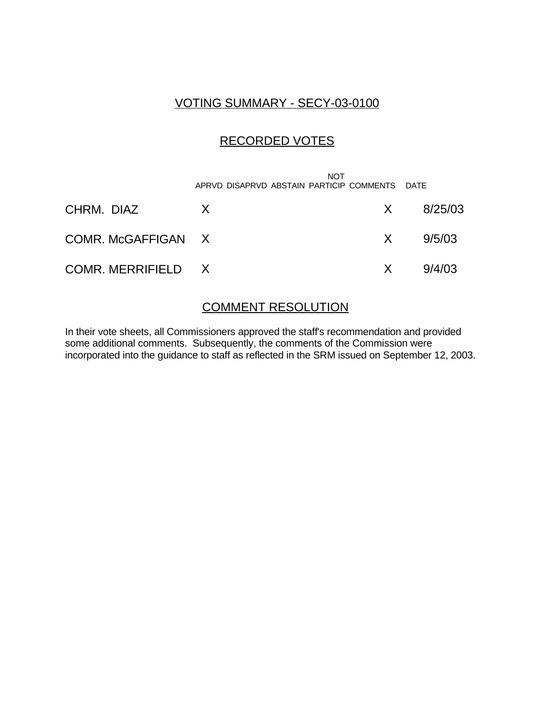## VOTING SUMMARY - SECY-03-0100

# RECORDED VOTES

|                    | <b>NOT</b><br>APRVD DISAPRVD ABSTAIN PARTICIP COMMENTS DATE |     |               |
|--------------------|-------------------------------------------------------------|-----|---------------|
| CHRM. DIAZ         | X                                                           |     | $X = 8/25/03$ |
| COMR. McGAFFIGAN X |                                                             | X — | 9/5/03        |
| COMR. MERRIFIELD X |                                                             | X — | 9/4/03        |

### COMMENT RESOLUTION

In their vote sheets, all Commissioners approved the staff's recommendation and provided some additional comments. Subsequently, the comments of the Commission were incorporated into the guidance to staff as reflected in the SRM issued on September 12, 2003.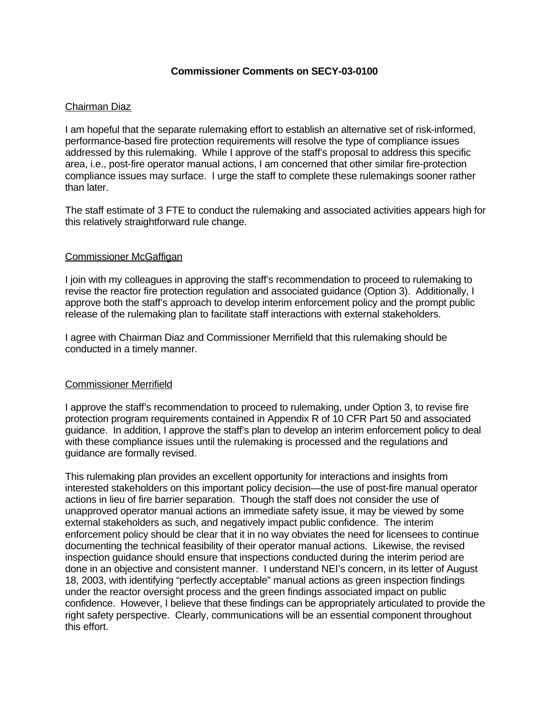### **Commissioner Comments on SECY-03-0100**

### Chairman Diaz

I am hopeful that the separate rulemaking effort to establish an alternative set of risk-informed, performance-based fire protection requirements will resolve the type of compliance issues addressed by this rulemaking. While I approve of the staff's proposal to address this specific area, i.e., post-fire operator manual actions, I am concerned that other similar fire-protection compliance issues may surface. I urge the staff to complete these rulemakings sooner rather than later.

The staff estimate of 3 FTE to conduct the rulemaking and associated activities appears high for this relatively straightforward rule change.

### Commissioner McGaffigan

I join with my colleagues in approving the staff's recommendation to proceed to rulemaking to revise the reactor fire protection regulation and associated guidance (Option 3). Additionally, I approve both the staff's approach to develop interim enforcement policy and the prompt public release of the rulemaking plan to facilitate staff interactions with external stakeholders.

I agree with Chairman Diaz and Commissioner Merrifield that this rulemaking should be conducted in a timely manner.

### Commissioner Merrifield

I approve the staff's recommendation to proceed to rulemaking, under Option 3, to revise fire protection program requirements contained in Appendix R of 10 CFR Part 50 and associated guidance. In addition, I approve the staff's plan to develop an interim enforcement policy to deal with these compliance issues until the rulemaking is processed and the regulations and guidance are formally revised.

This rulemaking plan provides an excellent opportunity for interactions and insights from interested stakeholders on this important policy decision—the use of post-fire manual operator actions in lieu of fire barrier separation. Though the staff does not consider the use of unapproved operator manual actions an immediate safety issue, it may be viewed by some external stakeholders as such, and negatively impact public confidence. The interim enforcement policy should be clear that it in no way obviates the need for licensees to continue documenting the technical feasibility of their operator manual actions. Likewise, the revised inspection guidance should ensure that inspections conducted during the interim period are done in an objective and consistent manner. I understand NEI's concern, in its letter of August 18, 2003, with identifying "perfectly acceptable" manual actions as green inspection findings under the reactor oversight process and the green findings associated impact on public confidence. However, I believe that these findings can be appropriately articulated to provide the right safety perspective. Clearly, communications will be an essential component throughout this effort.